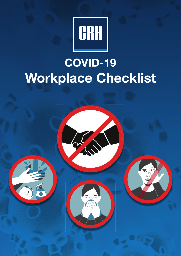

# **COVID-19 Workplace Checklist**

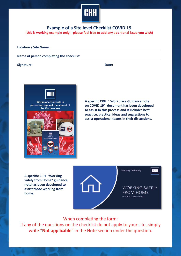

# **Example of a Site level Checklist COVID 19**

(this is working example only - please feel free to add any additional issue you wish)

| <b>Location / Site Name:</b>             |       |  |  |  |  |  |  |
|------------------------------------------|-------|--|--|--|--|--|--|
| Name of person completing the checklist: |       |  |  |  |  |  |  |
| Signature:                               | Date: |  |  |  |  |  |  |



**A specific CRH " Workplace Guidance note on COVID 19" document has been developed to assist in this process and it includes best**  practice, practical ideas and suggestions to assist operational teams in their discussions.

**A specific CRH "Working Safely from Home" guidance notehas been developed to assist those working from home.**



Working Draft Only

### **CRH**

# **WORKING SAFELY FROM HOME** PRACTICAL GUIDANCE NOTE

# When completing the form:

If any of the questions on the checklist do not apply to your site, simply write "**Not applicable**" in the Note section under the question.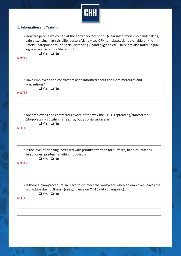

# **1. Information and Training**

• How are people welcomed at the entrance/reception? (clear instruction - no handshaking, safe distancing, high visibility posters/signs – see CRH templates/signs available on the Safety Sharepoint around social distancing / hand hygiene etc. There are also multi-lingual signs available on the Sharepoint).

❑ Yes ❑ No

#### **NOTES**

• Have employees and contractors been informed about the extra measures and precautions?

❑ Yes ❑ No

#### **NOTES**

• Are employees and contractors aware of the way the virus is spreading/transferred (dropplets via coughing, sneezing, but also via surfaces)?

❑ Yes ❑ No

### **NOTES**

• Is the level of cleaning increased with priotity attention for surfaces, handles, buttons, telephones, printers (anything touched)?

❑ Yes ❑ No

#### **NOTES**

- Is there a plan/procedure in place to disinfect the workplace when an employee leaves the workplace due to illness? (see guidance on CRH Safety Sharepoint).
	- ❑ Yes ❑ No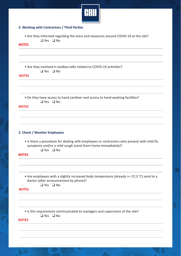

# **2. Working with Contractors / Third Parties**

• Are they informed regarding the extra and measures around COVID-19 at the site?

❑ Yes ❑ No

# **NOTES**

|                      |  | • Are they involved in toolbox talks related to COVID-19 activities? |  |
|----------------------|--|----------------------------------------------------------------------|--|
| $\Box$ Yes $\Box$ No |  |                                                                      |  |

**NOTES**

• Do they have access to hand sanitiser and access to hand washing facilities? ❑ Yes ❑ No

#### **NOTES**

# **3. Check / Monitor Employees**

- Is there a procedure for dealing with employees or contractors who present with mild flu symptoms and/or a mild cough (send them home immediately)?
	- ❑ Yes ❑ No

**NOTES**

• Are employees with a slightly increased body temperature (already >= 37,3 °C) send to a doctor (after announcement by phone)?

# ❑ Yes ❑ No

**NOTES**

• Is this requirement communicated to managers and supervisors at the site?

❑ Yes ❑ No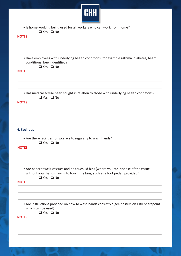

• Is home working being used for all workers who can work from home? ❑ Yes ❑ No

# **NOTES**

• Have employees with underlying health conditions (for example asthma , diabetes, heart conditions) been identified? ❑ Yes ❑ No

#### **NOTES**

• Has medical advise been sought in relation to those with underlying health conditions? ❑ Yes ❑ No

## **NOTES**

# **4. Facilities**

• Are there facilities for workers to regularly to wash hands?

# ❑ Yes ❑ No

#### **NOTES**

• Are paper towels / tissues and no touch lid bins (where you can dispose of the tissue without your hands having to touch the bins, such as a foot pedal) provided? ❑ Yes ❑ No

#### **NOTES**

- Are instructions provided on how to wash hands correctly? (see posters on CRH Sharepoint which can be used).
	- ❑ Yes ❑ No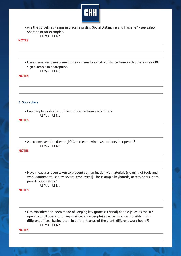

• Are the guidelines / signs in place regarding Social Distancing and Hygiene? - see Safety Sharepoint for examples.

# ❑ Yes ❑ No

# **NOTES**

- Have measures been taken in the canteen to eat at a distance from each other? see CRH sign example in Sharepoint. ❑ Yes ❑ No **5. Workplace** • Can people work at a sufficient distance from each other? ❑ Yes ❑ No • Are rooms ventilated enough? Could extra windows or doors be opened? ❑ Yes ❑ No • Have measures been taken to prevent contamination via materials (cleaning of tools and work equipment used by several employees) - for example keyboards, access doors, pens, pencils, calculators? ❑ Yes ❑ No • Has consideration been made of keeping key (process critical) people (such as the kiln operator, mill operator or key maintenance people) apart as much as possible (using **NOTES NOTES NOTES NOTES**
	- different offices, basing them in different areas of the plant, different work hours?) ❑ Yes ❑ No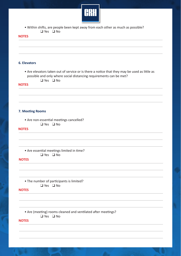

• Within shifts, are people been kept away from each other as much as possible? ❑ Yes ❑ No

#### **NOTES**



# **6. Elevators**

• Are elevators taken out of service or is there a notice that they may be used as little as possible and only where social distancing requirements can be met?

❑ Yes ❑ No

#### **NOTES**

#### **7. Meeting Rooms**

• Are non-essential meetings cancelled? ❑ Yes ❑ No

#### **NOTES**

• Are essential meetings limited in time? ❑ Yes ❑ No

**NOTES**

• The number of participants is limited? ❑ Yes ❑ No

#### **NOTES**

• Are (meeting) rooms cleaned and ventilated after meetings?

❑ Yes ❑ No